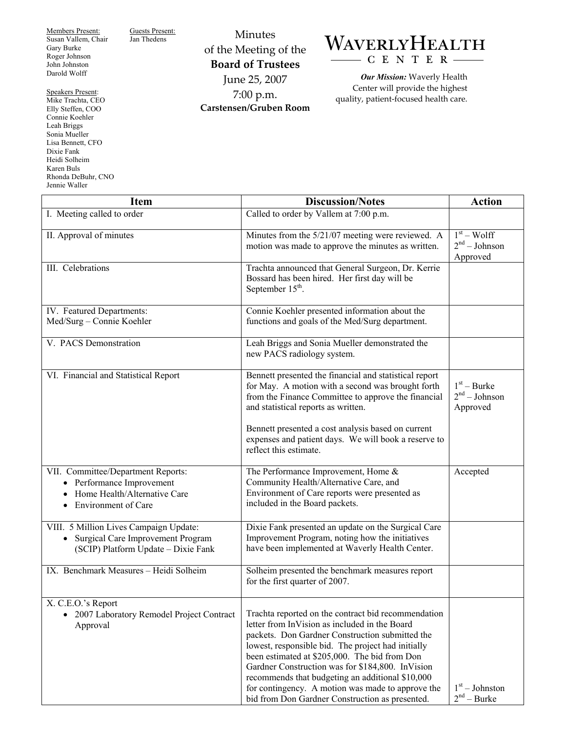Members Present: Susan Vallem, Chair Gary Burke Roger Johnson John Johnston Darold Wolff

Guests Present:<br>Jan Thedens

Speakers Present: Mike Trachta, CEO Elly Steffen, COO Connie Koehler Leah Briggs Sonia Mueller Lisa Bennett, CFO Dixie Fank Heidi Solheim Karen Buls Rhonda DeBuhr, CNO Jennie Waller

Minutes of the Meeting of the **Board of Trustees**  June 25, 2007 7:00 p.m. **Carstensen/Gruben Room** 



*Our Mission:* Waverly Health Center will provide the highest quality, patient-focused health care.

| <b>Item</b>                                                                                                                                    | <b>Discussion/Notes</b>                                                                                                                                                                                                                                                                                                                                                                                                                                                        | <b>Action</b>                                |
|------------------------------------------------------------------------------------------------------------------------------------------------|--------------------------------------------------------------------------------------------------------------------------------------------------------------------------------------------------------------------------------------------------------------------------------------------------------------------------------------------------------------------------------------------------------------------------------------------------------------------------------|----------------------------------------------|
| I. Meeting called to order                                                                                                                     | Called to order by Vallem at 7:00 p.m.                                                                                                                                                                                                                                                                                                                                                                                                                                         |                                              |
| II. Approval of minutes                                                                                                                        | Minutes from the 5/21/07 meeting were reviewed. A<br>motion was made to approve the minutes as written.                                                                                                                                                                                                                                                                                                                                                                        | $1st - Wolf$<br>$2nd - Johnson$<br>Approved  |
| III. Celebrations                                                                                                                              | Trachta announced that General Surgeon, Dr. Kerrie<br>Bossard has been hired. Her first day will be<br>September 15 <sup>th</sup> .                                                                                                                                                                                                                                                                                                                                            |                                              |
| IV. Featured Departments:<br>Med/Surg - Connie Koehler                                                                                         | Connie Koehler presented information about the<br>functions and goals of the Med/Surg department.                                                                                                                                                                                                                                                                                                                                                                              |                                              |
| V. PACS Demonstration                                                                                                                          | Leah Briggs and Sonia Mueller demonstrated the<br>new PACS radiology system.                                                                                                                                                                                                                                                                                                                                                                                                   |                                              |
| VI. Financial and Statistical Report                                                                                                           | Bennett presented the financial and statistical report<br>for May. A motion with a second was brought forth<br>from the Finance Committee to approve the financial<br>and statistical reports as written.<br>Bennett presented a cost analysis based on current<br>expenses and patient days. We will book a reserve to<br>reflect this estimate.                                                                                                                              | $1st - Burke$<br>$2nd - Johnson$<br>Approved |
| VII. Committee/Department Reports:<br>Performance Improvement<br>$\bullet$<br>Home Health/Alternative Care<br>Environment of Care<br>$\bullet$ | The Performance Improvement, Home &<br>Community Health/Alternative Care, and<br>Environment of Care reports were presented as<br>included in the Board packets.                                                                                                                                                                                                                                                                                                               | Accepted                                     |
| VIII. 5 Million Lives Campaign Update:<br>Surgical Care Improvement Program<br>$\bullet$<br>(SCIP) Platform Update - Dixie Fank                | Dixie Fank presented an update on the Surgical Care<br>Improvement Program, noting how the initiatives<br>have been implemented at Waverly Health Center.                                                                                                                                                                                                                                                                                                                      |                                              |
| IX. Benchmark Measures - Heidi Solheim                                                                                                         | Solheim presented the benchmark measures report<br>for the first quarter of 2007.                                                                                                                                                                                                                                                                                                                                                                                              |                                              |
| X. C.E.O.'s Report<br>• 2007 Laboratory Remodel Project Contract<br>Approval                                                                   | Trachta reported on the contract bid recommendation<br>letter from InVision as included in the Board<br>packets. Don Gardner Construction submitted the<br>lowest, responsible bid. The project had initially<br>been estimated at \$205,000. The bid from Don<br>Gardner Construction was for \$184,800. InVision<br>recommends that budgeting an additional \$10,000<br>for contingency. A motion was made to approve the<br>bid from Don Gardner Construction as presented. | $1st - Johnston$<br>$2nd - Burke$            |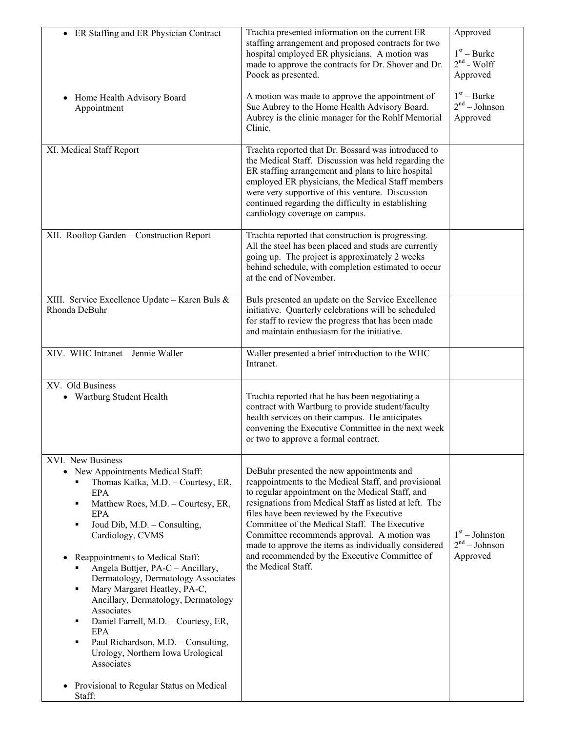| • ER Staffing and ER Physician Contract                                                                                                                                                                                                                                                                                                                                                                                                                                                                                                                                                                                                                     | Trachta presented information on the current ER<br>staffing arrangement and proposed contracts for two<br>hospital employed ER physicians. A motion was<br>made to approve the contracts for Dr. Shover and Dr.<br>Poock as presented.                                                                                                                                                                                                                                                      | Approved<br>$1st - Burke$<br>$2nd$ - Wolff<br>Approved |
|-------------------------------------------------------------------------------------------------------------------------------------------------------------------------------------------------------------------------------------------------------------------------------------------------------------------------------------------------------------------------------------------------------------------------------------------------------------------------------------------------------------------------------------------------------------------------------------------------------------------------------------------------------------|---------------------------------------------------------------------------------------------------------------------------------------------------------------------------------------------------------------------------------------------------------------------------------------------------------------------------------------------------------------------------------------------------------------------------------------------------------------------------------------------|--------------------------------------------------------|
| Home Health Advisory Board<br>Appointment                                                                                                                                                                                                                                                                                                                                                                                                                                                                                                                                                                                                                   | A motion was made to approve the appointment of<br>Sue Aubrey to the Home Health Advisory Board.<br>Aubrey is the clinic manager for the Rohlf Memorial<br>Clinic.                                                                                                                                                                                                                                                                                                                          | $1st - Burke$<br>$2nd - Johnson$<br>Approved           |
| XI. Medical Staff Report                                                                                                                                                                                                                                                                                                                                                                                                                                                                                                                                                                                                                                    | Trachta reported that Dr. Bossard was introduced to<br>the Medical Staff. Discussion was held regarding the<br>ER staffing arrangement and plans to hire hospital<br>employed ER physicians, the Medical Staff members<br>were very supportive of this venture. Discussion<br>continued regarding the difficulty in establishing<br>cardiology coverage on campus.                                                                                                                          |                                                        |
| XII. Rooftop Garden - Construction Report                                                                                                                                                                                                                                                                                                                                                                                                                                                                                                                                                                                                                   | Trachta reported that construction is progressing.<br>All the steel has been placed and studs are currently<br>going up. The project is approximately 2 weeks<br>behind schedule, with completion estimated to occur<br>at the end of November.                                                                                                                                                                                                                                             |                                                        |
| XIII. Service Excellence Update - Karen Buls &<br>Rhonda DeBuhr                                                                                                                                                                                                                                                                                                                                                                                                                                                                                                                                                                                             | Buls presented an update on the Service Excellence<br>initiative. Quarterly celebrations will be scheduled<br>for staff to review the progress that has been made<br>and maintain enthusiasm for the initiative.                                                                                                                                                                                                                                                                            |                                                        |
| XIV. WHC Intranet - Jennie Waller                                                                                                                                                                                                                                                                                                                                                                                                                                                                                                                                                                                                                           | Waller presented a brief introduction to the WHC<br>Intranet.                                                                                                                                                                                                                                                                                                                                                                                                                               |                                                        |
| XV. Old Business<br>Wartburg Student Health<br>$\bullet$                                                                                                                                                                                                                                                                                                                                                                                                                                                                                                                                                                                                    | Trachta reported that he has been negotiating a<br>contract with Wartburg to provide student/faculty<br>health services on their campus. He anticipates<br>convening the Executive Committee in the next week<br>or two to approve a formal contract.                                                                                                                                                                                                                                       |                                                        |
| XVI. New Business<br>New Appointments Medical Staff:<br>$\bullet$<br>Thomas Kafka, M.D. - Courtesy, ER,<br>٠<br><b>EPA</b><br>Matthew Roes, M.D. - Courtesy, ER,<br>٠<br>EPA<br>Joud Dib, M.D. - Consulting,<br>٠<br>Cardiology, CVMS<br>Reappointments to Medical Staff:<br>$\bullet$<br>Angela Buttjer, PA-C - Ancillary,<br>Dermatology, Dermatology Associates<br>Mary Margaret Heatley, PA-C,<br>٠<br>Ancillary, Dermatology, Dermatology<br>Associates<br>Daniel Farrell, M.D. - Courtesy, ER,<br>٠<br>EPA<br>Paul Richardson, M.D. - Consulting,<br>٠<br>Urology, Northern Iowa Urological<br>Associates<br>Provisional to Regular Status on Medical | DeBuhr presented the new appointments and<br>reappointments to the Medical Staff, and provisional<br>to regular appointment on the Medical Staff, and<br>resignations from Medical Staff as listed at left. The<br>files have been reviewed by the Executive<br>Committee of the Medical Staff. The Executive<br>Committee recommends approval. A motion was<br>made to approve the items as individually considered<br>and recommended by the Executive Committee of<br>the Medical Staff. | $1st - Johnston$<br>$2nd - Johnson$<br>Approved        |
| $\bullet$<br>Staff:                                                                                                                                                                                                                                                                                                                                                                                                                                                                                                                                                                                                                                         |                                                                                                                                                                                                                                                                                                                                                                                                                                                                                             |                                                        |